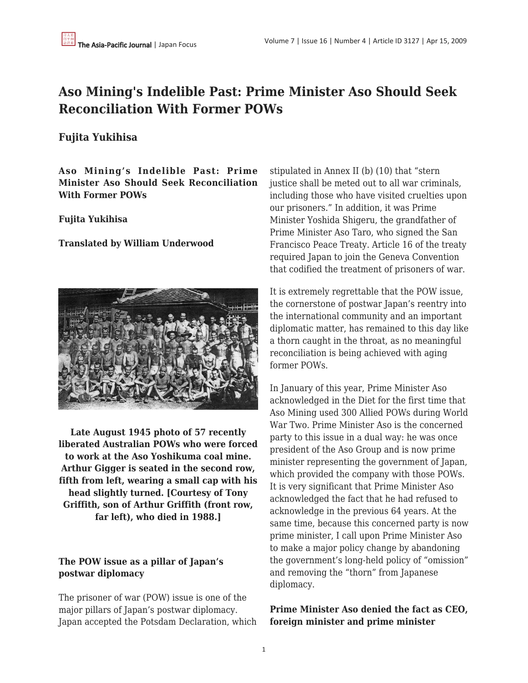# **Aso Mining's Indelible Past: Prime Minister Aso Should Seek Reconciliation With Former POWs**

# **Fujita Yukihisa**

**Aso Mining's Indelible Past: Prime Minister Aso Should Seek Reconciliation With Former POWs** 

## **Fujita Yukihisa**

#### **Translated by William Underwood**



**Late August 1945 photo of 57 recently liberated Australian POWs who were forced to work at the Aso Yoshikuma coal mine. Arthur Gigger is seated in the second row, fifth from left, wearing a small cap with his head slightly turned. [Courtesy of Tony Griffith, son of Arthur Griffith (front row, far left), who died in 1988.]**

## **The POW issue as a pillar of Japan's postwar diplomacy**

The prisoner of war (POW) issue is one of the major pillars of Japan's postwar diplomacy. Japan accepted the Potsdam Declaration, which stipulated in Annex II (b) (10) that "stern justice shall be meted out to all war criminals, including those who have visited cruelties upon our prisoners." In addition, it was Prime Minister Yoshida Shigeru, the grandfather of Prime Minister Aso Taro, who signed the San Francisco Peace Treaty. Article 16 of the treaty required Japan to join the Geneva Convention that codified the treatment of prisoners of war.

It is extremely regrettable that the POW issue, the cornerstone of postwar Japan's reentry into the international community and an important diplomatic matter, has remained to this day like a thorn caught in the throat, as no meaningful reconciliation is being achieved with aging former POWs.

In January of this year, Prime Minister Aso acknowledged in the Diet for the first time that Aso Mining used 300 Allied POWs during World War Two. Prime Minister Aso is the concerned party to this issue in a dual way: he was once president of the Aso Group and is now prime minister representing the government of Japan, which provided the company with those POWs. It is very significant that Prime Minister Aso acknowledged the fact that he had refused to acknowledge in the previous 64 years. At the same time, because this concerned party is now prime minister, I call upon Prime Minister Aso to make a major policy change by abandoning the government's long-held policy of "omission" and removing the "thorn" from Japanese diplomacy.

# **Prime Minister Aso denied the fact as CEO, foreign minister and prime minister**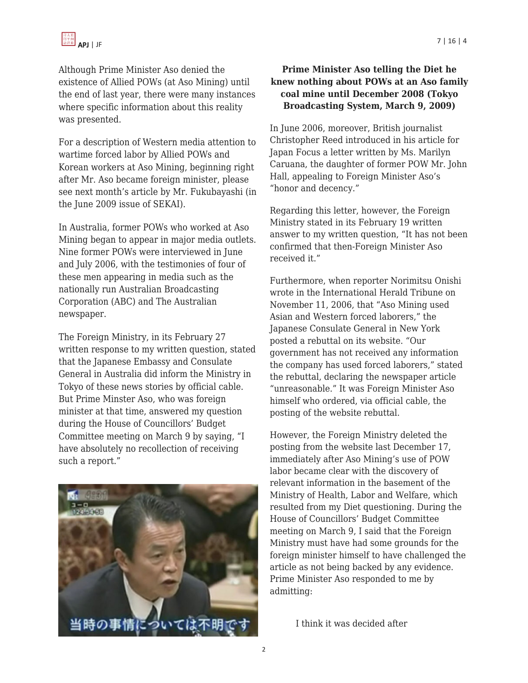

Although Prime Minister Aso denied the existence of Allied POWs (at Aso Mining) until the end of last year, there were many instances where specific information about this reality was presented.

For a description of Western media attention to wartime forced labor by Allied POWs and Korean workers at Aso Mining, beginning right after Mr. Aso became foreign minister, please see next month's article by Mr. Fukubayashi (in the June 2009 issue of SEKAI).

In Australia, former POWs who worked at Aso Mining began to appear in major media outlets. Nine former POWs were interviewed in June and July 2006, with the testimonies of four of these men appearing in media such as the nationally run Australian Broadcasting Corporation (ABC) and The Australian newspaper.

The Foreign Ministry, in its February 27 written response to my written question, stated that the Japanese Embassy and Consulate General in Australia did inform the Ministry in Tokyo of these news stories by official cable. But Prime Minster Aso, who was foreign minister at that time, answered my question during the House of Councillors' Budget Committee meeting on March 9 by saying, "I have absolutely no recollection of receiving such a report."



#### **Prime Minister Aso telling the Diet he knew nothing about POWs at an Aso family coal mine until December 2008 (Tokyo Broadcasting System, March 9, 2009)**

In June 2006, moreover, British journalist Christopher Reed introduced in his article for Japan Focus a letter written by Ms. Marilyn Caruana, the daughter of former POW Mr. John Hall, appealing to Foreign Minister Aso's "honor and decency."

Regarding this letter, however, the Foreign Ministry stated in its February 19 written answer to my written question, "It has not been confirmed that then-Foreign Minister Aso received it."

Furthermore, when reporter Norimitsu Onishi wrote in the International Herald Tribune on November 11, 2006, that "Aso Mining used Asian and Western forced laborers," the Japanese Consulate General in New York posted a rebuttal on its website. "Our government has not received any information the company has used forced laborers," stated the rebuttal, declaring the newspaper article "unreasonable." It was Foreign Minister Aso himself who ordered, via official cable, the posting of the website rebuttal.

However, the Foreign Ministry deleted the posting from the website last December 17, immediately after Aso Mining's use of POW labor became clear with the discovery of relevant information in the basement of the Ministry of Health, Labor and Welfare, which resulted from my Diet questioning. During the House of Councillors' Budget Committee meeting on March 9, I said that the Foreign Ministry must have had some grounds for the foreign minister himself to have challenged the article as not being backed by any evidence. Prime Minister Aso responded to me by admitting:

I think it was decided after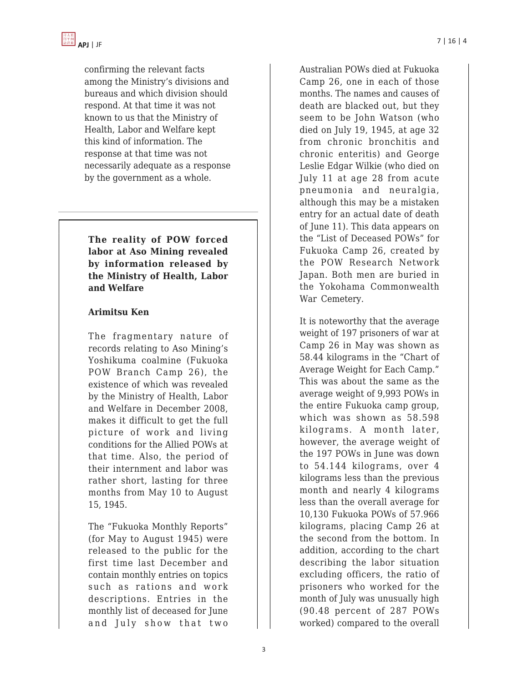confirming the relevant facts among the Ministry's divisions and bureaus and which division should respond. At that time it was not known to us that the Ministry of Health, Labor and Welfare kept this kind of information. The response at that time was not necessarily adequate as a response by the government as a whole.

**The reality of POW forced labor at Aso Mining revealed by information released by the Ministry of Health, Labor and Welfare**

#### **Arimitsu Ken**

The fragmentary nature of records relating to Aso Mining's Yoshikuma coalmine (Fukuoka POW Branch Camp 26), the existence of which was revealed by the Ministry of Health, Labor and Welfare in December 2008, makes it difficult to get the full picture of work and living conditions for the Allied POWs at that time. Also, the period of their internment and labor was rather short, lasting for three months from May 10 to August 15, 1945.

The "Fukuoka Monthly Reports" (for May to August 1945) were released to the public for the first time last December and contain monthly entries on topics such as rations and work descriptions. Entries in the monthly list of deceased for June and July show that two

Australian POWs died at Fukuoka Camp 26, one in each of those months. The names and causes of death are blacked out, but they seem to be John Watson (who died on July 19, 1945, at age 32 from chronic bronchitis and chronic enteritis) and George Leslie Edgar Wilkie (who died on July 11 at age 28 from acute pneumonia and neuralgia, although this may be a mistaken entry for an actual date of death of June 11). This data appears on the "List of Deceased POWs" for Fukuoka Camp 26, created by the POW Research Network Japan. Both men are buried in the Yokohama Commonwealth War Cemetery.

It is noteworthy that the average weight of 197 prisoners of war at Camp 26 in May was shown as 58.44 kilograms in the "Chart of Average Weight for Each Camp." This was about the same as the average weight of 9,993 POWs in the entire Fukuoka camp group, which was shown as 58.598 kilograms. A month later, however, the average weight of the 197 POWs in June was down to 54.144 kilograms, over 4 kilograms less than the previous month and nearly 4 kilograms less than the overall average for 10,130 Fukuoka POWs of 57.966 kilograms, placing Camp 26 at the second from the bottom. In addition, according to the chart describing the labor situation excluding officers, the ratio of prisoners who worked for the month of July was unusually high (90.48 percent of 287 POWs worked) compared to the overall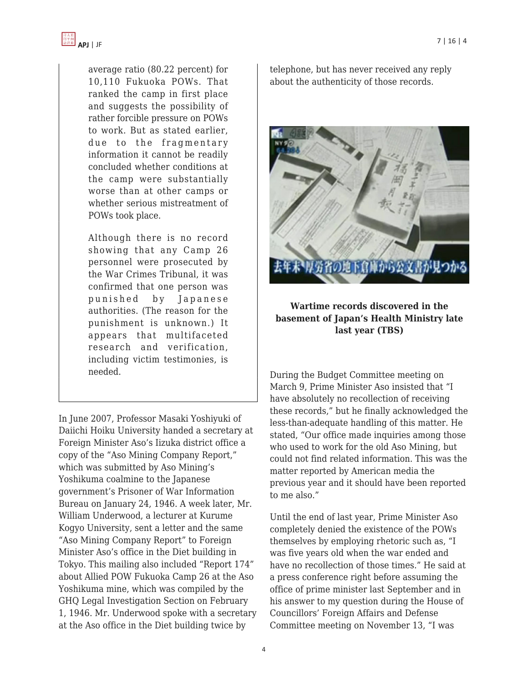

average ratio (80.22 percent) for 10,110 Fukuoka POWs. That ranked the camp in first place and suggests the possibility of rather forcible pressure on POWs to work. But as stated earlier, due to the fragmentary information it cannot be readily concluded whether conditions at the camp were substantially worse than at other camps or whether serious mistreatment of POWs took place.

Although there is no record showing that any Camp 26 personnel were prosecuted by the War Crimes Tribunal, it was confirmed that one person was punished by Japanese authorities. (The reason for the punishment is unknown.) It appears that multifaceted research and verification, including victim testimonies, is needed.

In June 2007, Professor Masaki Yoshiyuki of Daiichi Hoiku University handed a secretary at Foreign Minister Aso's Iizuka district office a copy of the "Aso Mining Company Report," which was submitted by Aso Mining's Yoshikuma coalmine to the Japanese government's Prisoner of War Information Bureau on January 24, 1946. A week later, Mr. William Underwood, a lecturer at Kurume Kogyo University, sent a letter and the same "Aso Mining Company Report" to Foreign Minister Aso's office in the Diet building in Tokyo. This mailing also included "Report 174" about Allied POW Fukuoka Camp 26 at the Aso Yoshikuma mine, which was compiled by the GHQ Legal Investigation Section on February 1, 1946. Mr. Underwood spoke with a secretary at the Aso office in the Diet building twice by

telephone, but has never received any reply about the authenticity of those records.



## **Wartime records discovered in the basement of Japan's Health Ministry late last year (TBS)**

During the Budget Committee meeting on March 9, Prime Minister Aso insisted that "I have absolutely no recollection of receiving these records," but he finally acknowledged the less-than-adequate handling of this matter. He stated, "Our office made inquiries among those who used to work for the old Aso Mining, but could not find related information. This was the matter reported by American media the previous year and it should have been reported to me also."

Until the end of last year, Prime Minister Aso completely denied the existence of the POWs themselves by employing rhetoric such as, "I was five years old when the war ended and have no recollection of those times." He said at a press conference right before assuming the office of prime minister last September and in his answer to my question during the House of Councillors' Foreign Affairs and Defense Committee meeting on November 13, "I was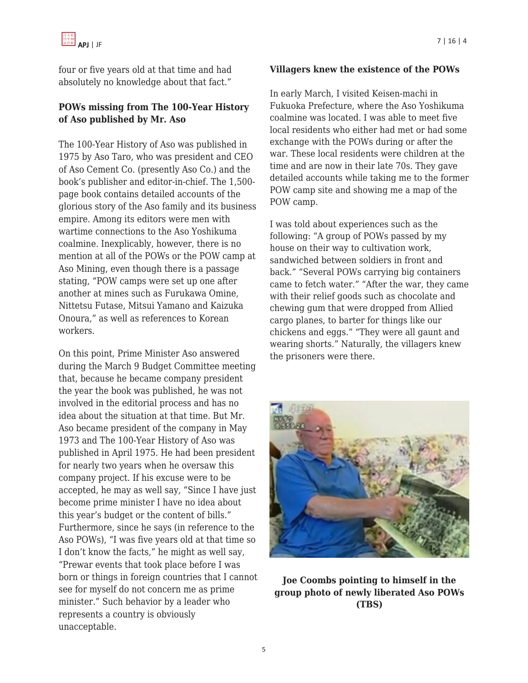four or five years old at that time and had absolutely no knowledge about that fact."

# **POWs missing from The 100-Year History of Aso published by Mr. Aso**

The 100-Year History of Aso was published in 1975 by Aso Taro, who was president and CEO of Aso Cement Co. (presently Aso Co.) and the book's publisher and editor-in-chief. The 1,500 page book contains detailed accounts of the glorious story of the Aso family and its business empire. Among its editors were men with wartime connections to the Aso Yoshikuma coalmine. Inexplicably, however, there is no mention at all of the POWs or the POW camp at Aso Mining, even though there is a passage stating, "POW camps were set up one after another at mines such as Furukawa Omine, Nittetsu Futase, Mitsui Yamano and Kaizuka Onoura," as well as references to Korean workers.

On this point, Prime Minister Aso answered during the March 9 Budget Committee meeting that, because he became company president the year the book was published, he was not involved in the editorial process and has no idea about the situation at that time. But Mr. Aso became president of the company in May 1973 and The 100-Year History of Aso was published in April 1975. He had been president for nearly two years when he oversaw this company project. If his excuse were to be accepted, he may as well say, "Since I have just become prime minister I have no idea about this year's budget or the content of bills." Furthermore, since he says (in reference to the Aso POWs), "I was five years old at that time so I don't know the facts," he might as well say, "Prewar events that took place before I was born or things in foreign countries that I cannot see for myself do not concern me as prime minister." Such behavior by a leader who represents a country is obviously unacceptable.

#### **Villagers knew the existence of the POWs**

In early March, I visited Keisen-machi in Fukuoka Prefecture, where the Aso Yoshikuma coalmine was located. I was able to meet five local residents who either had met or had some exchange with the POWs during or after the war. These local residents were children at the time and are now in their late 70s. They gave detailed accounts while taking me to the former POW camp site and showing me a map of the POW camp.

I was told about experiences such as the following: "A group of POWs passed by my house on their way to cultivation work, sandwiched between soldiers in front and back." "Several POWs carrying big containers came to fetch water." "After the war, they came with their relief goods such as chocolate and chewing gum that were dropped from Allied cargo planes, to barter for things like our chickens and eggs." "They were all gaunt and wearing shorts." Naturally, the villagers knew the prisoners were there.



**Joe Coombs pointing to himself in the group photo of newly liberated Aso POWs (TBS)**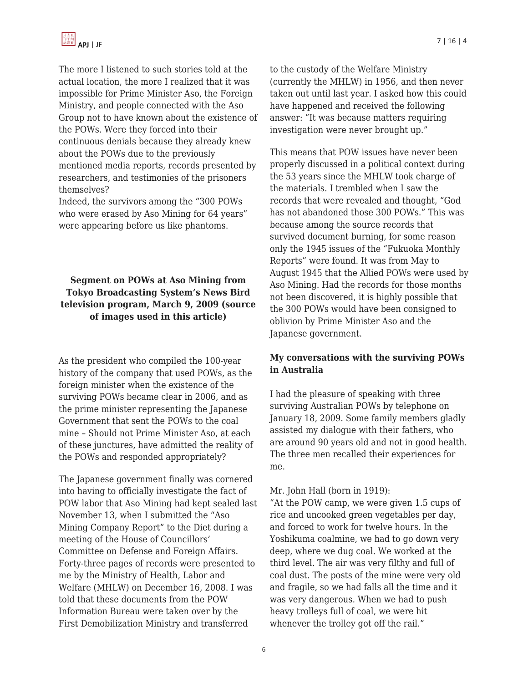The more I listened to such stories told at the actual location, the more I realized that it was impossible for Prime Minister Aso, the Foreign Ministry, and people connected with the Aso Group not to have known about the existence of the POWs. Were they forced into their continuous denials because they already knew about the POWs due to the previously mentioned media reports, records presented by researchers, and testimonies of the prisoners themselves?

Indeed, the survivors among the "300 POWs who were erased by Aso Mining for 64 years" were appearing before us like phantoms.

# **Segment on POWs at Aso Mining from Tokyo Broadcasting System's News Bird television program, March 9, 2009 (source of images used in this article)**

As the president who compiled the 100-year history of the company that used POWs, as the foreign minister when the existence of the surviving POWs became clear in 2006, and as the prime minister representing the Japanese Government that sent the POWs to the coal mine – Should not Prime Minister Aso, at each of these junctures, have admitted the reality of the POWs and responded appropriately?

The Japanese government finally was cornered into having to officially investigate the fact of POW labor that Aso Mining had kept sealed last November 13, when I submitted the "Aso Mining Company Report" to the Diet during a meeting of the House of Councillors' Committee on Defense and Foreign Affairs. Forty-three pages of records were presented to me by the Ministry of Health, Labor and Welfare (MHLW) on December 16, 2008. I was told that these documents from the POW Information Bureau were taken over by the First Demobilization Ministry and transferred

to the custody of the Welfare Ministry (currently the MHLW) in 1956, and then never taken out until last year. I asked how this could have happened and received the following answer: "It was because matters requiring investigation were never brought up."

This means that POW issues have never been properly discussed in a political context during the 53 years since the MHLW took charge of the materials. I trembled when I saw the records that were revealed and thought, "God has not abandoned those 300 POWs." This was because among the source records that survived document burning, for some reason only the 1945 issues of the "Fukuoka Monthly Reports" were found. It was from May to August 1945 that the Allied POWs were used by Aso Mining. Had the records for those months not been discovered, it is highly possible that the 300 POWs would have been consigned to oblivion by Prime Minister Aso and the Japanese government.

## **My conversations with the surviving POWs in Australia**

I had the pleasure of speaking with three surviving Australian POWs by telephone on January 18, 2009. Some family members gladly assisted my dialogue with their fathers, who are around 90 years old and not in good health. The three men recalled their experiences for me.

#### Mr. John Hall (born in 1919):

"At the POW camp, we were given 1.5 cups of rice and uncooked green vegetables per day, and forced to work for twelve hours. In the Yoshikuma coalmine, we had to go down very deep, where we dug coal. We worked at the third level. The air was very filthy and full of coal dust. The posts of the mine were very old and fragile, so we had falls all the time and it was very dangerous. When we had to push heavy trolleys full of coal, we were hit whenever the trolley got off the rail."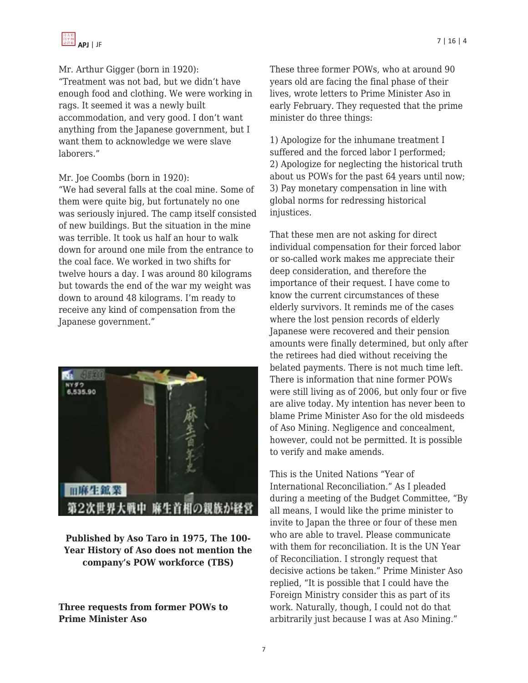

#### Mr. Arthur Gigger (born in 1920):

"Treatment was not bad, but we didn't have enough food and clothing. We were working in rags. It seemed it was a newly built accommodation, and very good. I don't want anything from the Japanese government, but I want them to acknowledge we were slave laborers."

#### Mr. Joe Coombs (born in 1920):

"We had several falls at the coal mine. Some of them were quite big, but fortunately no one was seriously injured. The camp itself consisted of new buildings. But the situation in the mine was terrible. It took us half an hour to walk down for around one mile from the entrance to the coal face. We worked in two shifts for twelve hours a day. I was around 80 kilograms but towards the end of the war my weight was down to around 48 kilograms. I'm ready to receive any kind of compensation from the Japanese government."



**Published by Aso Taro in 1975, The 100- Year History of Aso does not mention the company's POW workforce (TBS)**

**Three requests from former POWs to Prime Minister Aso**

These three former POWs, who at around 90 years old are facing the final phase of their lives, wrote letters to Prime Minister Aso in early February. They requested that the prime minister do three things:

1) Apologize for the inhumane treatment I suffered and the forced labor I performed; 2) Apologize for neglecting the historical truth about us POWs for the past 64 years until now; 3) Pay monetary compensation in line with global norms for redressing historical injustices.

That these men are not asking for direct individual compensation for their forced labor or so-called work makes me appreciate their deep consideration, and therefore the importance of their request. I have come to know the current circumstances of these elderly survivors. It reminds me of the cases where the lost pension records of elderly Japanese were recovered and their pension amounts were finally determined, but only after the retirees had died without receiving the belated payments. There is not much time left. There is information that nine former POWs were still living as of 2006, but only four or five are alive today. My intention has never been to blame Prime Minister Aso for the old misdeeds of Aso Mining. Negligence and concealment, however, could not be permitted. It is possible to verify and make amends.

This is the United Nations "Year of International Reconciliation." As I pleaded during a meeting of the Budget Committee, "By all means, I would like the prime minister to invite to Japan the three or four of these men who are able to travel. Please communicate with them for reconciliation. It is the UN Year of Reconciliation. I strongly request that decisive actions be taken." Prime Minister Aso replied, "It is possible that I could have the Foreign Ministry consider this as part of its work. Naturally, though, I could not do that arbitrarily just because I was at Aso Mining."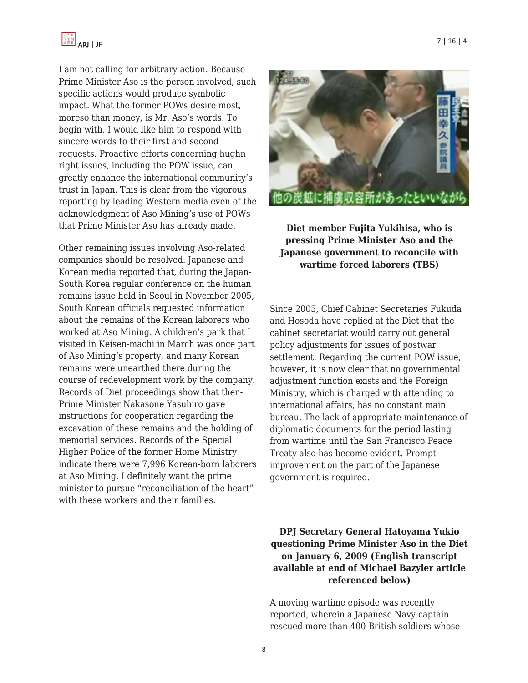

I am not calling for arbitrary action. Because Prime Minister Aso is the person involved, such specific actions would produce symbolic impact. What the former POWs desire most, moreso than money, is Mr. Aso's words. To begin with, I would like him to respond with sincere words to their first and second requests. Proactive efforts concerning hughn right issues, including the POW issue, can greatly enhance the international community's trust in Japan. This is clear from the vigorous reporting by leading Western media even of the acknowledgment of Aso Mining's use of POWs that Prime Minister Aso has already made.

Other remaining issues involving Aso-related companies should be resolved. Japanese and Korean media reported that, during the Japan-South Korea regular conference on the human remains issue held in Seoul in November 2005, South Korean officials requested information about the remains of the Korean laborers who worked at Aso Mining. A children's park that I visited in Keisen-machi in March was once part of Aso Mining's property, and many Korean remains were unearthed there during the course of redevelopment work by the company. Records of Diet proceedings show that then-Prime Minister Nakasone Yasuhiro gave instructions for cooperation regarding the excavation of these remains and the holding of memorial services. Records of the Special Higher Police of the former Home Ministry indicate there were 7,996 Korean-born laborers at Aso Mining. I definitely want the prime minister to pursue "reconciliation of the heart" with these workers and their families.



**Diet member Fujita Yukihisa, who is pressing Prime Minister Aso and the Japanese government to reconcile with wartime forced laborers (TBS)**

Since 2005, Chief Cabinet Secretaries Fukuda and Hosoda have replied at the Diet that the cabinet secretariat would carry out general policy adjustments for issues of postwar settlement. Regarding the current POW issue, however, it is now clear that no governmental adjustment function exists and the Foreign Ministry, which is charged with attending to international affairs, has no constant main bureau. The lack of appropriate maintenance of diplomatic documents for the period lasting from wartime until the San Francisco Peace Treaty also has become evident. Prompt improvement on the part of the Japanese government is required.

## **DPJ Secretary General Hatoyama Yukio questioning Prime Minister Aso in the Diet on January 6, 2009 (English transcript available at end of Michael Bazyler article referenced below)**

A moving wartime episode was recently reported, wherein a Japanese Navy captain rescued more than 400 British soldiers whose